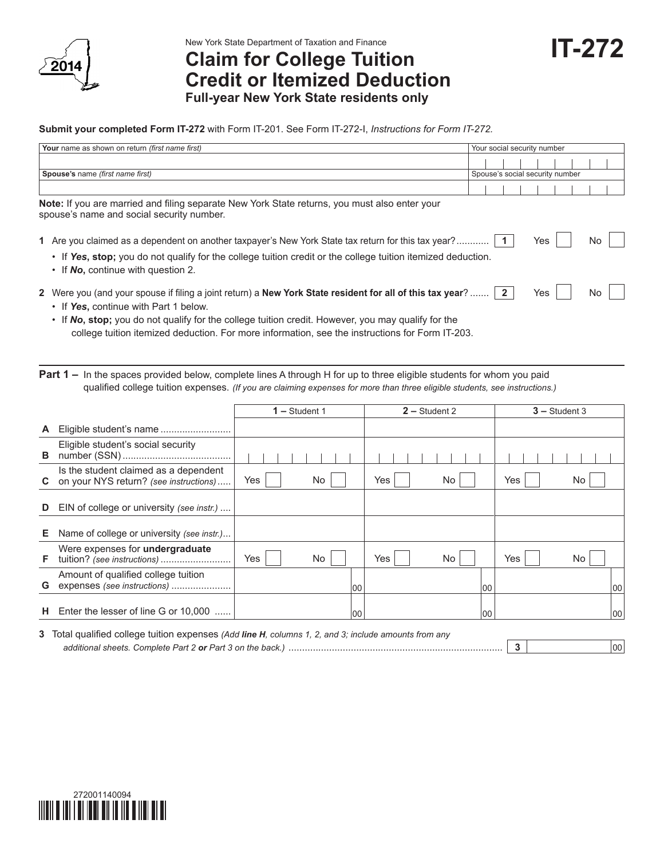

New York State Department of Taxation and Finance

**Claim for College Tuition Credit or Itemized Deduction Full-year New York State residents only**

## **Submit your completed Form IT-272** with Form IT-201. See Form IT-272-I, *Instructions for Form IT-272.*

| Your name as shown on return (first name first)                                                                                                                                                                                                               | Your social security number     |  |
|---------------------------------------------------------------------------------------------------------------------------------------------------------------------------------------------------------------------------------------------------------------|---------------------------------|--|
|                                                                                                                                                                                                                                                               |                                 |  |
| Spouse's name (first name first)                                                                                                                                                                                                                              | Spouse's social security number |  |
|                                                                                                                                                                                                                                                               |                                 |  |
| Note: If you are married and filing separate New York State returns, you must also enter your<br>spouse's name and social security number.                                                                                                                    |                                 |  |
| 1 Are you claimed as a dependent on another taxpayer's New York State tax return for this tax year?   1<br>• If Yes, stop; you do not qualify for the college tuition credit or the college tuition itemized deduction.<br>• If No, continue with question 2. | Yes<br>No                       |  |
| 2 Were you (and your spouse if filing a joint return) a New York State resident for all of this tax year?  2<br>• If Yes, continue with Part 1 below.                                                                                                         | Yes<br>No                       |  |

• If *No*, stop; you do not qualify for the college tuition credit. However, you may qualify for the college tuition itemized deduction. For more information, see the instructions for Form IT-203.

**Part 1 –** In the spaces provided below, complete lines A through H for up to three eligible students for whom you paid qualified college tuition expenses. *(If you are claiming expenses for more than three eligible students, see instructions.)*

|    |                                                                                 | $1 -$ Student 1 | $2 -$ Student 2 | $3 -$ Student 3 |
|----|---------------------------------------------------------------------------------|-----------------|-----------------|-----------------|
| A  |                                                                                 |                 |                 |                 |
| в  | Eligible student's social security                                              |                 |                 |                 |
| C. | Is the student claimed as a dependent<br>on your NYS return? (see instructions) | Yes<br>No       | Yes<br>No       | Yes<br>No       |
| D  | EIN of college or university (see instr.)                                       |                 |                 |                 |
| Е. | Name of college or university (see instr.)                                      |                 |                 |                 |
| F. | Were expenses for undergraduate<br>tuition? (see instructions)                  | Yes<br>No.      | Yes<br>No       | Yes<br>No       |
| G  | Amount of qualified college tuition<br>expenses (see instructions)              | 100             | 100             | 100             |
| н  | Enter the lesser of line G or 10,000                                            | 100             | 100             | 100             |

**3** Total qualified college tuition expenses *(Add line H, columns 1, 2, and 3; include amounts from any additional sheets. Complete Part 2 or Part 3 on the back.)* ............................................................................... **3** 00